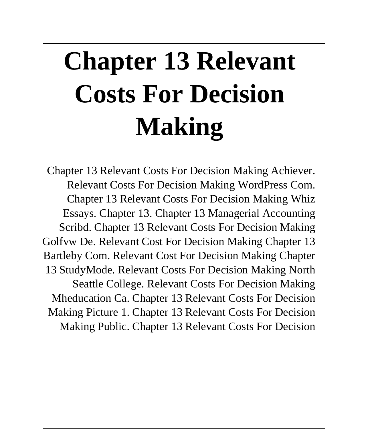# **Chapter 13 Relevant Costs For Decision Making**

Chapter 13 Relevant Costs For Decision Making Achiever. Relevant Costs For Decision Making WordPress Com. Chapter 13 Relevant Costs For Decision Making Whiz Essays. Chapter 13. Chapter 13 Managerial Accounting Scribd. Chapter 13 Relevant Costs For Decision Making Golfvw De. Relevant Cost For Decision Making Chapter 13 Bartleby Com. Relevant Cost For Decision Making Chapter 13 StudyMode. Relevant Costs For Decision Making North Seattle College. Relevant Costs For Decision Making Mheducation Ca. Chapter 13 Relevant Costs For Decision Making Picture 1. Chapter 13 Relevant Costs For Decision Making Public. Chapter 13 Relevant Costs For Decision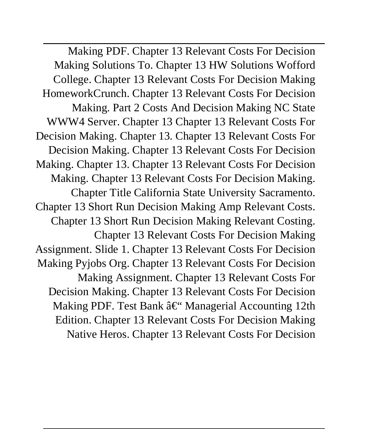Making PDF. Chapter 13 Relevant Costs For Decision Making Solutions To. Chapter 13 HW Solutions Wofford College. Chapter 13 Relevant Costs For Decision Making HomeworkCrunch. Chapter 13 Relevant Costs For Decision Making. Part 2 Costs And Decision Making NC State WWW4 Server. Chapter 13 Chapter 13 Relevant Costs For Decision Making. Chapter 13. Chapter 13 Relevant Costs For Decision Making. Chapter 13 Relevant Costs For Decision Making. Chapter 13. Chapter 13 Relevant Costs For Decision Making. Chapter 13 Relevant Costs For Decision Making. Chapter Title California State University Sacramento. Chapter 13 Short Run Decision Making Amp Relevant Costs. Chapter 13 Short Run Decision Making Relevant Costing. Chapter 13 Relevant Costs For Decision Making Assignment. Slide 1. Chapter 13 Relevant Costs For Decision Making Pyjobs Org. Chapter 13 Relevant Costs For Decision Making Assignment. Chapter 13 Relevant Costs For Decision Making. Chapter 13 Relevant Costs For Decision Making PDF. Test Bank – Managerial Accounting 12th Edition. Chapter 13 Relevant Costs For Decision Making Native Heros. Chapter 13 Relevant Costs For Decision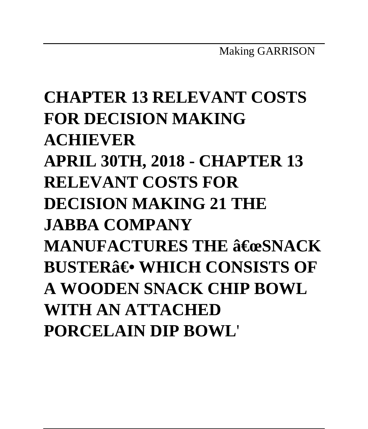# **CHAPTER 13 RELEVANT COSTS FOR DECISION MAKING ACHIEVER APRIL 30TH, 2018 - CHAPTER 13 RELEVANT COSTS FOR DECISION MAKING 21 THE JABBA COMPANY MANUFACTURES THE 3€ @SNACK BUSTER**<sup>3</sup> WHICH CONSISTS OF **A WOODEN SNACK CHIP BOWL WITH AN ATTACHED PORCELAIN DIP BOWL**'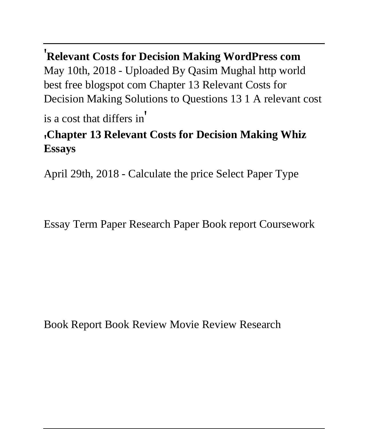'**Relevant Costs for Decision Making WordPress com** May 10th, 2018 - Uploaded By Qasim Mughal http world best free blogspot com Chapter 13 Relevant Costs for Decision Making Solutions to Questions 13 1 A relevant cost

is a cost that differs in'

#### '**Chapter 13 Relevant Costs for Decision Making Whiz Essays**

April 29th, 2018 - Calculate the price Select Paper Type

Essay Term Paper Research Paper Book report Coursework

Book Report Book Review Movie Review Research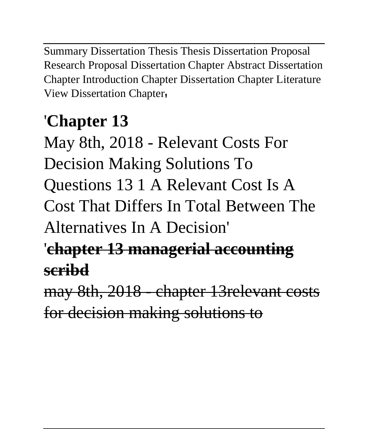Summary Dissertation Thesis Thesis Dissertation Proposal Research Proposal Dissertation Chapter Abstract Dissertation Chapter Introduction Chapter Dissertation Chapter Literature View Dissertation Chapter'

### '**Chapter 13**

May 8th, 2018 - Relevant Costs For Decision Making Solutions To Questions 13 1 A Relevant Cost Is A Cost That Differs In Total Between The Alternatives In A Decision'

### '**chapter 13 managerial accounting scribd**

may 8th, 2018 - chapter 13relevant costs for decision making solutions to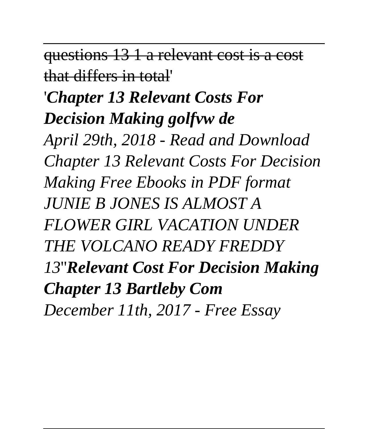questions 13 1 a relevant cost is a cost that differs in total'

### '*Chapter 13 Relevant Costs For Decision Making golfvw de*

*April 29th, 2018 - Read and Download Chapter 13 Relevant Costs For Decision Making Free Ebooks in PDF format JUNIE B JONES IS ALMOST A FLOWER GIRL VACATION UNDER THE VOLCANO READY FREDDY 13*''*Relevant Cost For Decision Making Chapter 13 Bartleby Com December 11th, 2017 - Free Essay*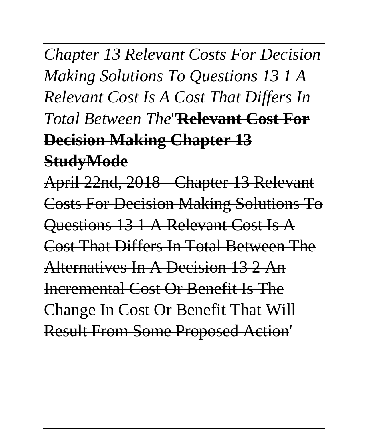# *Chapter 13 Relevant Costs For Decision Making Solutions To Questions 13 1 A Relevant Cost Is A Cost That Differs In Total Between The*''**Relevant Cost For Decision Making Chapter 13 StudyMode**

April 22nd, 2018 - Chapter 13 Relevant Costs For Decision Making Solutions To Questions 13 1 A Relevant Cost Is A Cost That Differs In Total Between The Alternatives In A Decision 13 2 An Incremental Cost Or Benefit Is The Change In Cost Or Benefit That Will Result From Some Proposed Action'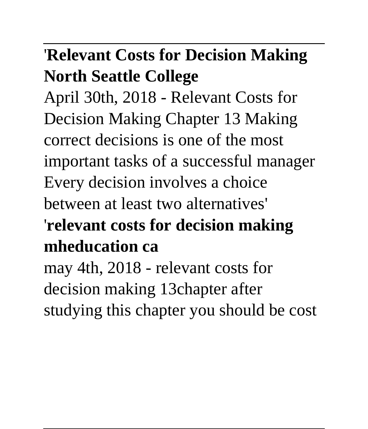### '**Relevant Costs for Decision Making North Seattle College**

April 30th, 2018 - Relevant Costs for Decision Making Chapter 13 Making correct decisions is one of the most important tasks of a successful manager Every decision involves a choice between at least two alternatives' '**relevant costs for decision making mheducation ca**

may 4th, 2018 - relevant costs for decision making 13chapter after studying this chapter you should be cost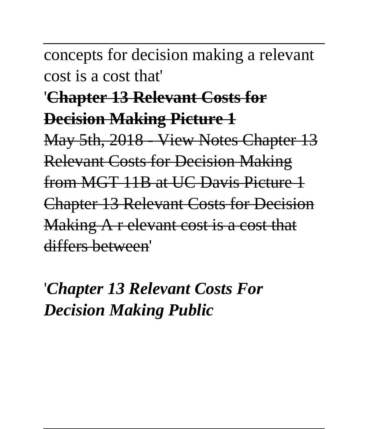concepts for decision making a relevant cost is a cost that'

#### '**Chapter 13 Relevant Costs for Decision Making Picture 1**

May 5th, 2018 - View Notes Chapter 13 Relevant Costs for Decision Making from MGT 11B at UC Davis Picture 1 Chapter 13 Relevant Costs for Decision Making A r elevant cost is a cost that differs between'

### '*Chapter 13 Relevant Costs For Decision Making Public*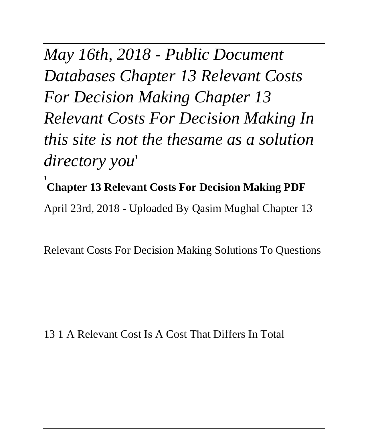*May 16th, 2018 - Public Document Databases Chapter 13 Relevant Costs For Decision Making Chapter 13 Relevant Costs For Decision Making In this site is not the thesame as a solution directory you*' '**Chapter 13 Relevant Costs For Decision Making PDF**

April 23rd, 2018 - Uploaded By Qasim Mughal Chapter 13

Relevant Costs For Decision Making Solutions To Questions

#### 13 1 A Relevant Cost Is A Cost That Differs In Total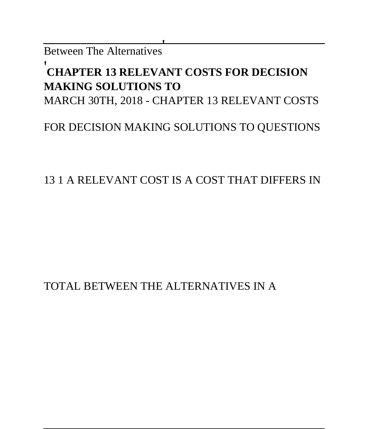Between The Alternatives'

#### '**CHAPTER 13 RELEVANT COSTS FOR DECISION MAKING SOLUTIONS TO**

MARCH 30TH, 2018 - CHAPTER 13 RELEVANT COSTS

#### FOR DECISION MAKING SOLUTIONS TO QUESTIONS

#### 13 1 A RELEVANT COST IS A COST THAT DIFFERS IN

#### TOTAL BETWEEN THE ALTERNATIVES IN A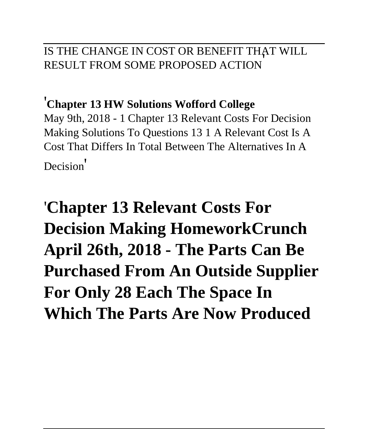#### IS THE CHANGE IN COST OR BENEFIT THAT WILL RESULT FROM SOME PROPOSED ACTION'

#### '**Chapter 13 HW Solutions Wofford College**

May 9th, 2018 - 1 Chapter 13 Relevant Costs For Decision Making Solutions To Questions 13 1 A Relevant Cost Is A Cost That Differs In Total Between The Alternatives In A Decision'

'**Chapter 13 Relevant Costs For Decision Making HomeworkCrunch April 26th, 2018 - The Parts Can Be Purchased From An Outside Supplier For Only 28 Each The Space In Which The Parts Are Now Produced**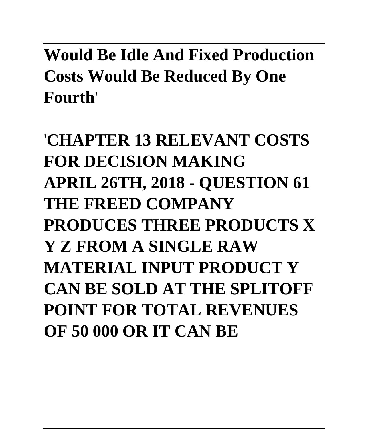**Would Be Idle And Fixed Production Costs Would Be Reduced By One Fourth**'

'**CHAPTER 13 RELEVANT COSTS FOR DECISION MAKING APRIL 26TH, 2018 - QUESTION 61 THE FREED COMPANY PRODUCES THREE PRODUCTS X Y Z FROM A SINGLE RAW MATERIAL INPUT PRODUCT Y CAN BE SOLD AT THE SPLITOFF POINT FOR TOTAL REVENUES OF 50 000 OR IT CAN BE**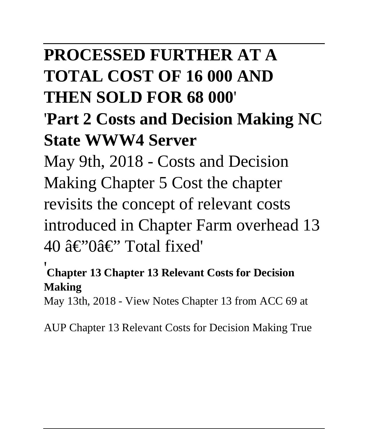### **PROCESSED FURTHER AT A TOTAL COST OF 16 000 AND THEN SOLD FOR 68 000**'

### '**Part 2 Costs and Decision Making NC State WWW4 Server**

May 9th, 2018 - Costs and Decision Making Chapter 5 Cost the chapter revisits the concept of relevant costs introduced in Chapter Farm overhead 13 40 â€"0â€" Total fixed'

#### '**Chapter 13 Chapter 13 Relevant Costs for Decision Making**

May 13th, 2018 - View Notes Chapter 13 from ACC 69 at

AUP Chapter 13 Relevant Costs for Decision Making True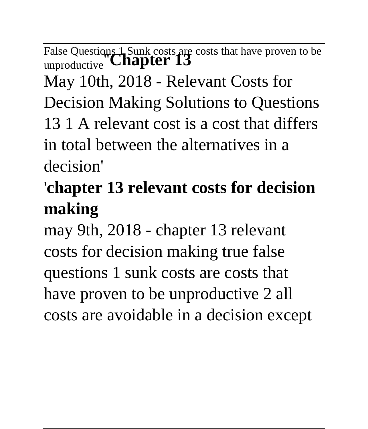False Questions 1 Sunk costs are costs that have proven to be unproductive''**Chapter 13** May 10th, 2018 - Relevant Costs for Decision Making Solutions to Questions 13 1 A relevant cost is a cost that differs in total between the alternatives in a decision'

# '**chapter 13 relevant costs for decision making**

may 9th, 2018 - chapter 13 relevant costs for decision making true false questions 1 sunk costs are costs that have proven to be unproductive 2 all costs are avoidable in a decision except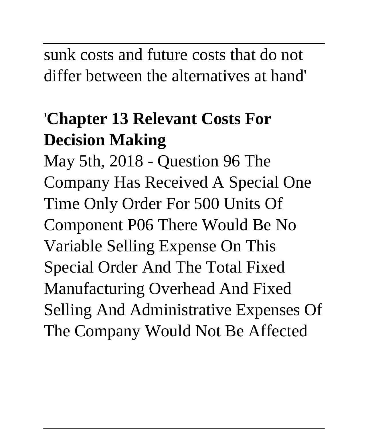sunk costs and future costs that do not differ between the alternatives at hand'

# '**Chapter 13 Relevant Costs For Decision Making**

May 5th, 2018 - Question 96 The Company Has Received A Special One Time Only Order For 500 Units Of Component P06 There Would Be No Variable Selling Expense On This Special Order And The Total Fixed Manufacturing Overhead And Fixed Selling And Administrative Expenses Of The Company Would Not Be Affected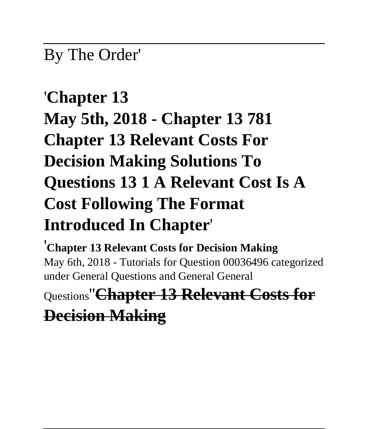#### By The Order'

# '**Chapter 13 May 5th, 2018 - Chapter 13 781 Chapter 13 Relevant Costs For Decision Making Solutions To Questions 13 1 A Relevant Cost Is A Cost Following The Format Introduced In Chapter**'

'**Chapter 13 Relevant Costs for Decision Making** May 6th, 2018 - Tutorials for Question 00036496 categorized under General Questions and General General

Questions''**Chapter 13 Relevant Costs for**

#### **Decision Making**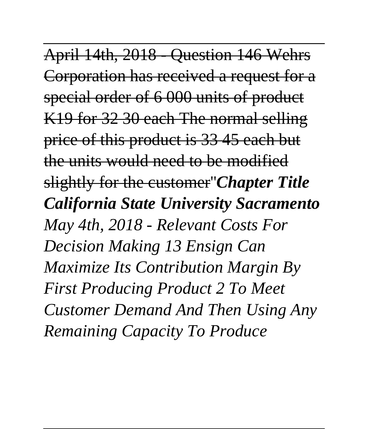April 14th, 2018 - Question 146 Wehrs Corporation has received a request for a special order of 6 000 units of product K19 for 32 30 each The normal selling price of this product is 33 45 each but the units would need to be modified slightly for the customer''*Chapter Title California State University Sacramento May 4th, 2018 - Relevant Costs For Decision Making 13 Ensign Can Maximize Its Contribution Margin By First Producing Product 2 To Meet Customer Demand And Then Using Any Remaining Capacity To Produce*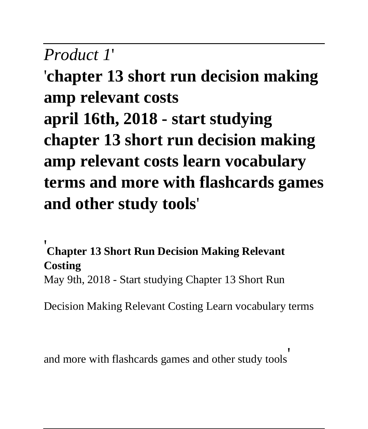#### *Product 1*'

'**chapter 13 short run decision making amp relevant costs april 16th, 2018 - start studying chapter 13 short run decision making amp relevant costs learn vocabulary terms and more with flashcards games and other study tools**'

**Chapter 13 Short Run Decision Making Relevant Costing** May 9th, 2018 - Start studying Chapter 13 Short Run

Decision Making Relevant Costing Learn vocabulary terms

and more with flashcards games and other study tools'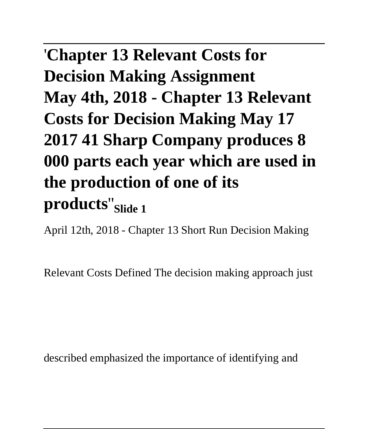# '**Chapter 13 Relevant Costs for Decision Making Assignment May 4th, 2018 - Chapter 13 Relevant Costs for Decision Making May 17 2017 41 Sharp Company produces 8 000 parts each year which are used in the production of one of its products**''**Slide 1**

April 12th, 2018 - Chapter 13 Short Run Decision Making

Relevant Costs Defined The decision making approach just

described emphasized the importance of identifying and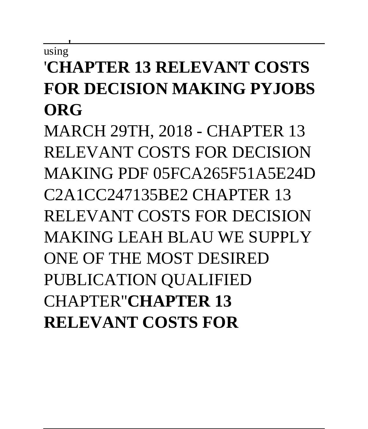#### $\overline{\text{using}}$ '**CHAPTER 13 RELEVANT COSTS FOR DECISION MAKING PYJOBS ORG**

MARCH 29TH, 2018 - CHAPTER 13 RELEVANT COSTS FOR DECISION MAKING PDF 05FCA265F51A5E24D C2A1CC247135BE2 CHAPTER 13 RELEVANT COSTS FOR DECISION MAKING LEAH BLAU WE SUPPLY ONE OF THE MOST DESIRED PUBLICATION QUALIFIED CHAPTER''**CHAPTER 13 RELEVANT COSTS FOR**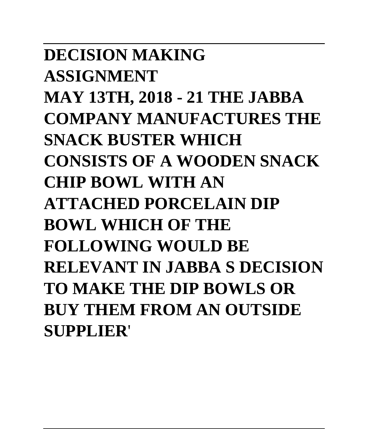**DECISION MAKING ASSIGNMENT MAY 13TH, 2018 - 21 THE JABBA COMPANY MANUFACTURES THE SNACK BUSTER WHICH CONSISTS OF A WOODEN SNACK CHIP BOWL WITH AN ATTACHED PORCELAIN DIP BOWL WHICH OF THE FOLLOWING WOULD BE RELEVANT IN JABBA S DECISION TO MAKE THE DIP BOWLS OR BUY THEM FROM AN OUTSIDE SUPPLIER**'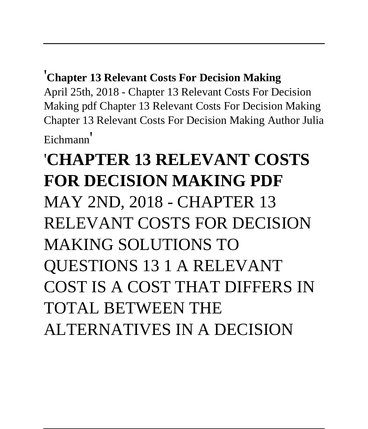#### '**Chapter 13 Relevant Costs For Decision Making**

April 25th, 2018 - Chapter 13 Relevant Costs For Decision Making pdf Chapter 13 Relevant Costs For Decision Making Chapter 13 Relevant Costs For Decision Making Author Julia Eichmann'

# '**CHAPTER 13 RELEVANT COSTS FOR DECISION MAKING PDF** MAY 2ND, 2018 - CHAPTER 13 RELEVANT COSTS FOR DECISION MAKING SOLUTIONS TO QUESTIONS 13 1 A RELEVANT COST IS A COST THAT DIFFERS IN TOTAL BETWEEN THE ALTERNATIVES IN A DECISION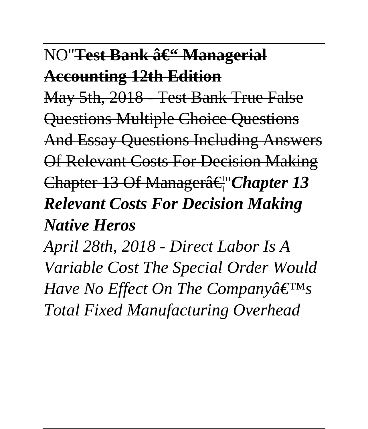#### NO''<del>Test Bank â€" Manageria</del>l

### **Accounting 12th Edition**

May 5th, 2018 - Test Bank True False

Questions Multiple Choice Questions

And Essay Questions Including Answers Of Relevant Costs For Decision Making

Chapter 13 Of Manager…''*Chapter 13 Relevant Costs For Decision Making Native Heros*

*April 28th, 2018 - Direct Labor Is A Variable Cost The Special Order Would Have No Effect On The Companya* $\epsilon^{\text{TM}}$ *s Total Fixed Manufacturing Overhead*